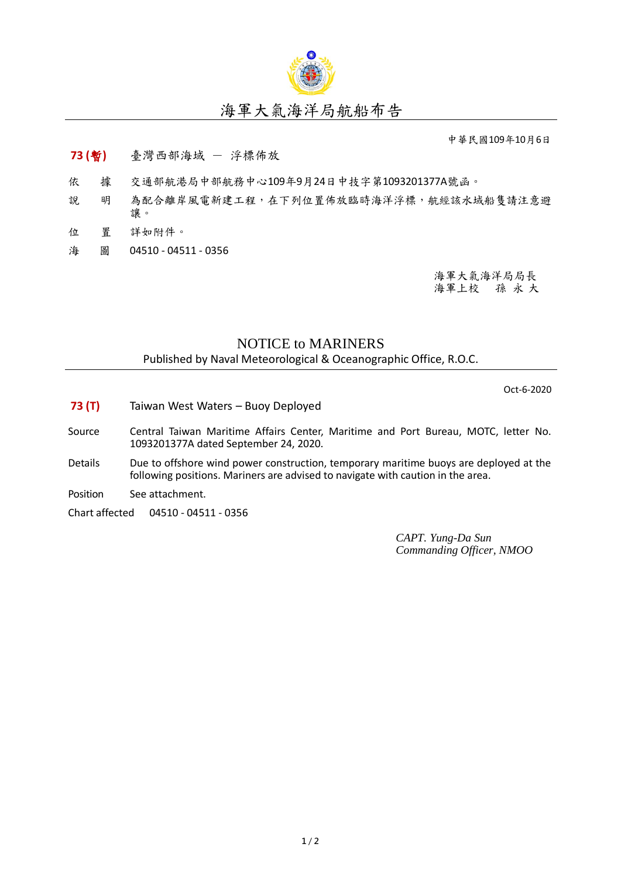

## 海軍大氣海洋局航船布告

中華民國109年10月6日

## **73 (**暫**)** 臺灣西部海域 - 浮標佈放

- 依 據 交通部航港局中部航務中心109年9月24日中技字第1093201377A號函。
- 說 明 為配合離岸風電新建工程,在下列位置佈放臨時海洋浮標,航經該水域船隻請注意避 讓。
- 位 置 詳如附件。
- 海 圖 04510 04511 0356

海軍大氣海洋局局長 海軍上校 孫 永 大

## NOTICE to MARINERS

Published by Naval Meteorological & Oceanographic Office, R.O.C.

Oct-6-2020

- **73 (T)** Taiwan West Waters Buoy Deployed
- Source Central Taiwan Maritime Affairs Center, Maritime and Port Bureau, MOTC, letter No. 1093201377A dated September 24, 2020.
- Details Due to offshore wind power construction, temporary maritime buoys are deployed at the following positions. Mariners are advised to navigate with caution in the area.
- Position See attachment.
- Chart affected 04510 04511 0356

*CAPT. Yung-Da Sun Commanding Officer, NMOO*